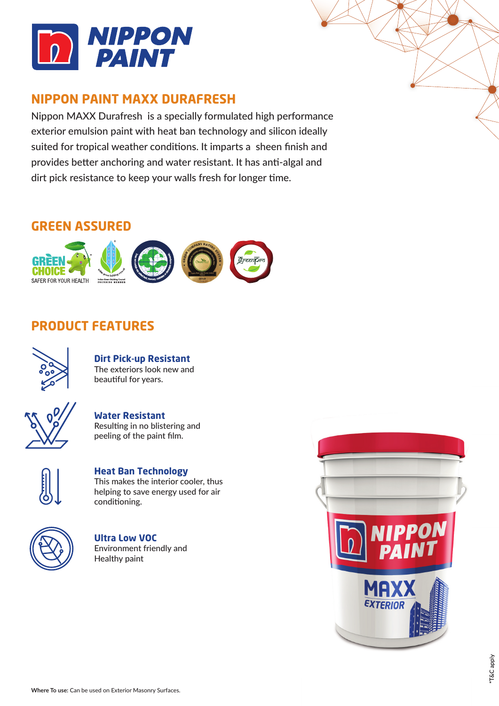

### **NIPPON PAINT MAXX DURAFRESH**

Nippon MAXX Durafresh is a specially formulated high performance exterior emulsion paint with heat ban technology and silicon ideally suited for tropical weather conditions. It imparts a sheen finish and provides better anchoring and water resistant. It has anti-algal and dirt pick resistance to keep your walls fresh for longer time.

### **GREEN ASSURED**



# **PRODUCT FEATURES**



**Dirt Pick-up Resistant** The exteriors look new and beautiful for years.



**Water Resistant** Resulting in no blistering and peeling of the paint film.



**Heat Ban Technology** This makes the interior cooler, thus helping to save energy used for air conditioning.



**Ultra Low VOC** Environment friendly and Healthy paint